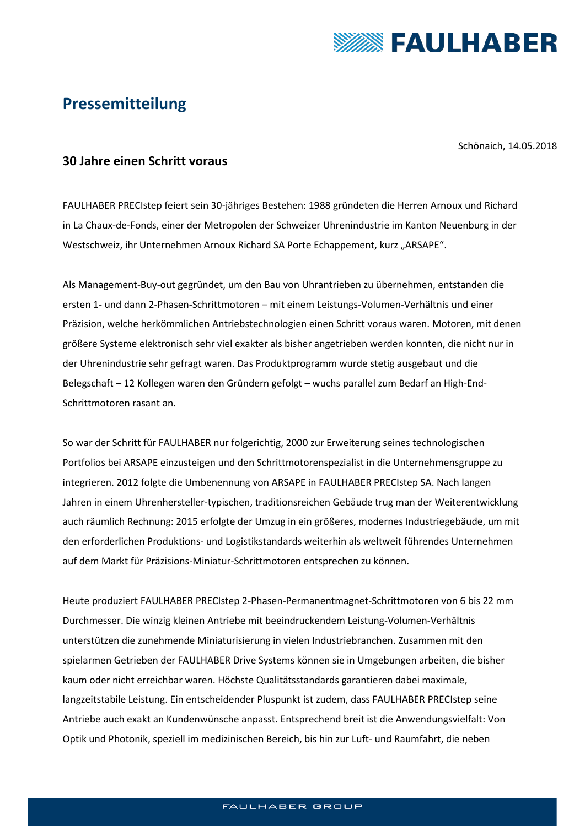

# **Pressemitteilung**

Schönaich, 14.05.2018

### **30 Jahre einen Schritt voraus**

FAULHABER PRECIstep feiert sein 30-jähriges Bestehen: 1988 gründeten die Herren Arnoux und Richard in La Chaux-de-Fonds, einer der Metropolen der Schweizer Uhrenindustrie im Kanton Neuenburg in der Westschweiz, ihr Unternehmen Arnoux Richard SA Porte Echappement, kurz "ARSAPE".

Als Management-Buy-out gegründet, um den Bau von Uhrantrieben zu übernehmen, entstanden die ersten 1- und dann 2-Phasen-Schrittmotoren – mit einem Leistungs-Volumen-Verhältnis und einer Präzision, welche herkömmlichen Antriebstechnologien einen Schritt voraus waren. Motoren, mit denen größere Systeme elektronisch sehr viel exakter als bisher angetrieben werden konnten, die nicht nur in der Uhrenindustrie sehr gefragt waren. Das Produktprogramm wurde stetig ausgebaut und die Belegschaft – 12 Kollegen waren den Gründern gefolgt – wuchs parallel zum Bedarf an High-End-Schrittmotoren rasant an.

So war der Schritt für FAULHABER nur folgerichtig, 2000 zur Erweiterung seines technologischen Portfolios bei ARSAPE einzusteigen und den Schrittmotorenspezialist in die Unternehmensgruppe zu integrieren. 2012 folgte die Umbenennung von ARSAPE in FAULHABER PRECIstep SA. Nach langen Jahren in einem Uhrenhersteller-typischen, traditionsreichen Gebäude trug man der Weiterentwicklung auch räumlich Rechnung: 2015 erfolgte der Umzug in ein größeres, modernes Industriegebäude, um mit den erforderlichen Produktions- und Logistikstandards weiterhin als weltweit führendes Unternehmen auf dem Markt für Präzisions-Miniatur-Schrittmotoren entsprechen zu können.

Heute produziert FAULHABER PRECIstep 2-Phasen-Permanentmagnet-Schrittmotoren von 6 bis 22 mm Durchmesser. Die winzig kleinen Antriebe mit beeindruckendem Leistung-Volumen-Verhältnis unterstützen die zunehmende Miniaturisierung in vielen Industriebranchen. Zusammen mit den spielarmen Getrieben der FAULHABER Drive Systems können sie in Umgebungen arbeiten, die bisher kaum oder nicht erreichbar waren. Höchste Qualitätsstandards garantieren dabei maximale, langzeitstabile Leistung. Ein entscheidender Pluspunkt ist zudem, dass FAULHABER PRECIstep seine Antriebe auch exakt an Kundenwünsche anpasst. Entsprechend breit ist die Anwendungsvielfalt: Von Optik und Photonik, speziell im medizinischen Bereich, bis hin zur Luft- und Raumfahrt, die neben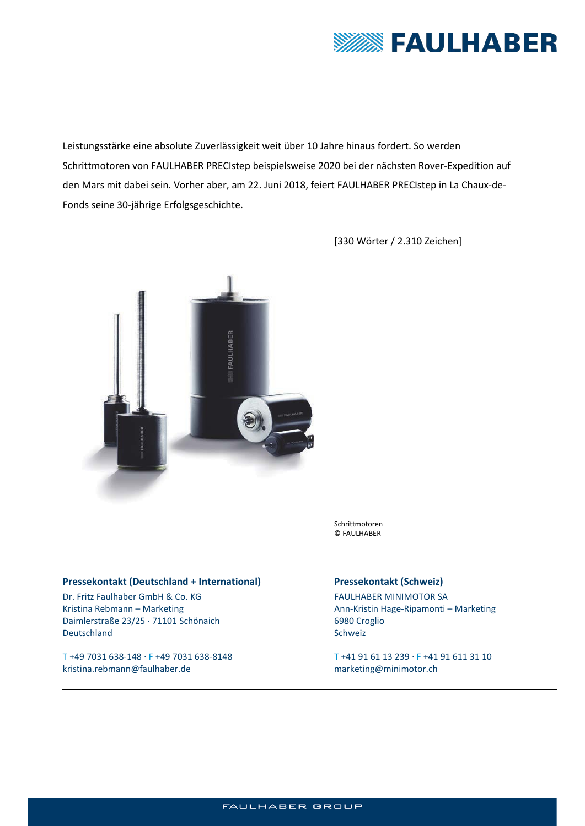

Leistungsstärke eine absolute Zuverlässigkeit weit über 10 Jahre hinaus fordert. So werden Schrittmotoren von FAULHABER PRECIstep beispielsweise 2020 bei der nächsten Rover-Expedition auf den Mars mit dabei sein. Vorher aber, am 22. Juni 2018, feiert FAULHABER PRECIstep in La Chaux-de-Fonds seine 30-jährige Erfolgsgeschichte.



[330 Wörter / 2.310 Zeichen]

Schrittmotoren © FAULHABER

#### **Pressekontakt (Deutschland + International)**

Dr. Fritz Faulhaber GmbH & Co. KG Kristina Rebmann – Marketing Daimlerstraße 23/25 · 71101 Schönaich Deutschland

T +49 7031 638-148 · F +49 7031 638-8148 kristina.rebmann@faulhaber.de

#### **Pressekontakt (Schweiz)**

FAULHABER MINIMOTOR SA Ann-Kristin Hage-Ripamonti – Marketing 6980 Croglio Schweiz

T +41 91 61 13 239 · F +41 91 611 31 10 marketing@minimotor.ch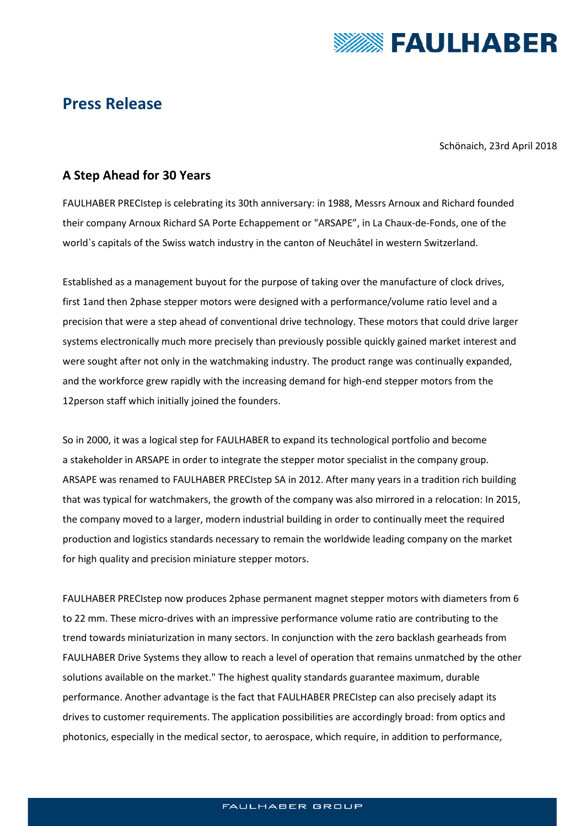

## **Press Release**

Schönaich, 23rd April 2018

## **A Step Ahead for 30 Years**

FAULHABER PRECIstep is celebrating its 30th anniversary: in 1988, Messrs Arnoux and Richard founded their company Arnoux Richard SA Porte Echappement or "ARSAPE", in La Chaux-de-Fonds, one of the world`s capitals of the Swiss watch industry in the canton of Neuchâtel in western Switzerland.

Established as a management buyout for the purpose of taking over the manufacture of clock drives, first 1and then 2phase stepper motors were designed with a performance/volume ratio level and a precision that were a step ahead of conventional drive technology. These motors that could drive larger systems electronically much more precisely than previously possible quickly gained market interest and were sought after not only in the watchmaking industry. The product range was continually expanded, and the workforce grew rapidly with the increasing demand for high-end stepper motors from the 12person staff which initially joined the founders.

So in 2000, it was a logical step for FAULHABER to expand its technological portfolio and become a stakeholder in ARSAPE in order to integrate the stepper motor specialist in the company group. ARSAPE was renamed to FAULHABER PRECIstep SA in 2012. After many years in a tradition rich building that was typical for watchmakers, the growth of the company was also mirrored in a relocation: In 2015, the company moved to a larger, modern industrial building in order to continually meet the required production and logistics standards necessary to remain the worldwide leading company on the market for high quality and precision miniature stepper motors.

FAULHABER PRECIstep now produces 2phase permanent magnet stepper motors with diameters from 6 to 22 mm. These micro-drives with an impressive performance volume ratio are contributing to the trend towards miniaturization in many sectors. In conjunction with the zero backlash gearheads from FAULHABER Drive Systems they allow to reach a level of operation that remains unmatched by the other solutions available on the market." The highest quality standards guarantee maximum, durable performance. Another advantage is the fact that FAULHABER PRECIstep can also precisely adapt its drives to customer requirements. The application possibilities are accordingly broad: from optics and photonics, especially in the medical sector, to aerospace, which require, in addition to performance,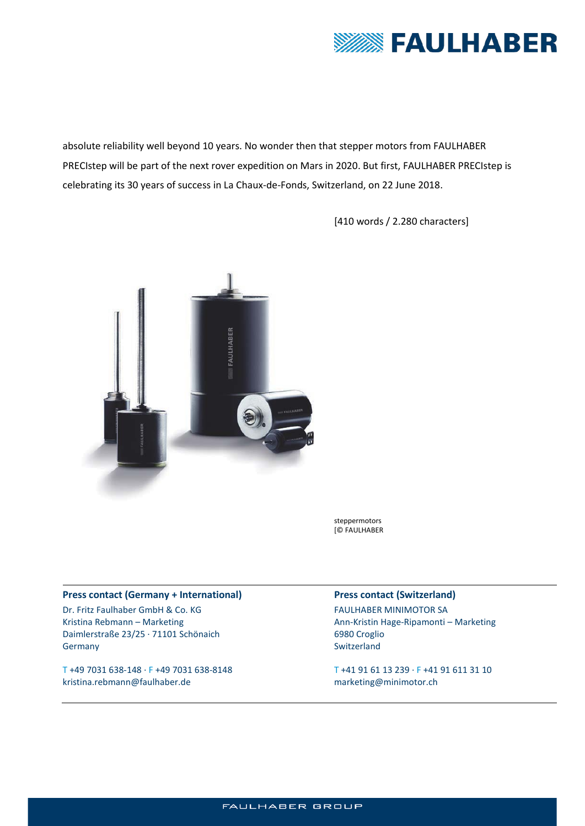

absolute reliability well beyond 10 years. No wonder then that stepper motors from FAULHABER PRECIstep will be part of the next rover expedition on Mars in 2020. But first, FAULHABER PRECIstep is celebrating its 30 years of success in La Chaux-de-Fonds, Switzerland, on 22 June 2018.

[410 words / 2.280 characters]



steppermotors [© FAULHABER

#### **Press contact (Germany + International)**

Dr. Fritz Faulhaber GmbH & Co. KG Kristina Rebmann – Marketing Daimlerstraße 23/25 · 71101 Schönaich Germany

T +49 7031 638-148 · F +49 7031 638-8148 kristina.rebmann@faulhaber.de

### **Press contact (Switzerland)**

FAULHABER MINIMOTOR SA Ann-Kristin Hage-Ripamonti – Marketing 6980 Croglio Switzerland

T +41 91 61 13 239 · F +41 91 611 31 10 marketing@minimotor.ch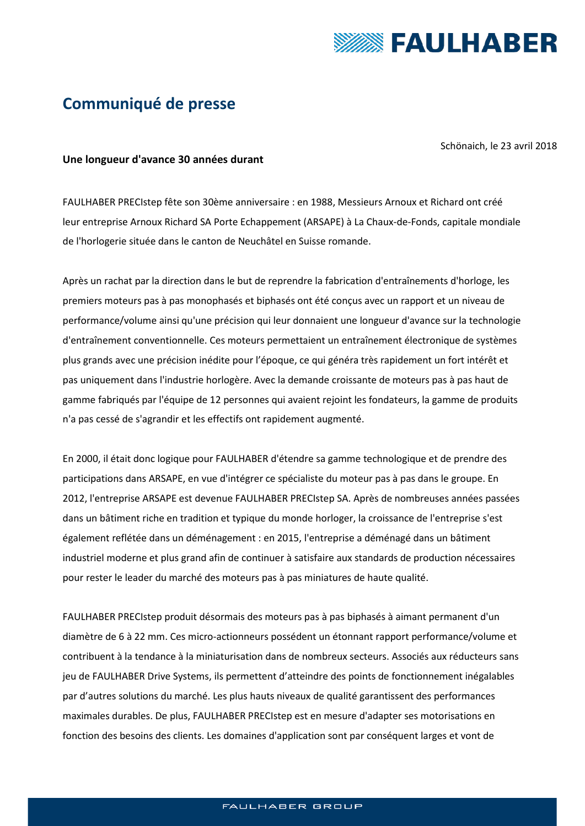

# **Communiqué de presse**

Schönaich, le 23 avril 2018

#### **Une longueur d'avance 30 années durant**

FAULHABER PRECIstep fête son 30ème anniversaire : en 1988, Messieurs Arnoux et Richard ont créé leur entreprise Arnoux Richard SA Porte Echappement (ARSAPE) à La Chaux-de-Fonds, capitale mondiale de l'horlogerie située dans le canton de Neuchâtel en Suisse romande.

Après un rachat par la direction dans le but de reprendre la fabrication d'entraînements d'horloge, les premiers moteurs pas à pas monophasés et biphasés ont été conçus avec un rapport et un niveau de performance/volume ainsi qu'une précision qui leur donnaient une longueur d'avance sur la technologie d'entraînement conventionnelle. Ces moteurs permettaient un entraînement électronique de systèmes plus grands avec une précision inédite pour l'époque, ce qui généra très rapidement un fort intérêt et pas uniquement dans l'industrie horlogère. Avec la demande croissante de moteurs pas à pas haut de gamme fabriqués par l'équipe de 12 personnes qui avaient rejoint les fondateurs, la gamme de produits n'a pas cessé de s'agrandir et les effectifs ont rapidement augmenté.

En 2000, il était donc logique pour FAULHABER d'étendre sa gamme technologique et de prendre des participations dans ARSAPE, en vue d'intégrer ce spécialiste du moteur pas à pas dans le groupe. En 2012, l'entreprise ARSAPE est devenue FAULHABER PRECIstep SA. Après de nombreuses années passées dans un bâtiment riche en tradition et typique du monde horloger, la croissance de l'entreprise s'est également reflétée dans un déménagement : en 2015, l'entreprise a déménagé dans un bâtiment industriel moderne et plus grand afin de continuer à satisfaire aux standards de production nécessaires pour rester le leader du marché des moteurs pas à pas miniatures de haute qualité.

FAULHABER PRECIstep produit désormais des moteurs pas à pas biphasés à aimant permanent d'un diamètre de 6 à 22 mm. Ces micro-actionneurs possédent un étonnant rapport performance/volume et contribuent à la tendance à la miniaturisation dans de nombreux secteurs. Associés aux réducteurs sans jeu de FAULHABER Drive Systems, ils permettent d'atteindre des points de fonctionnement inégalables par d'autres solutions du marché. Les plus hauts niveaux de qualité garantissent des performances maximales durables. De plus, FAULHABER PRECIstep est en mesure d'adapter ses motorisations en fonction des besoins des clients. Les domaines d'application sont par conséquent larges et vont de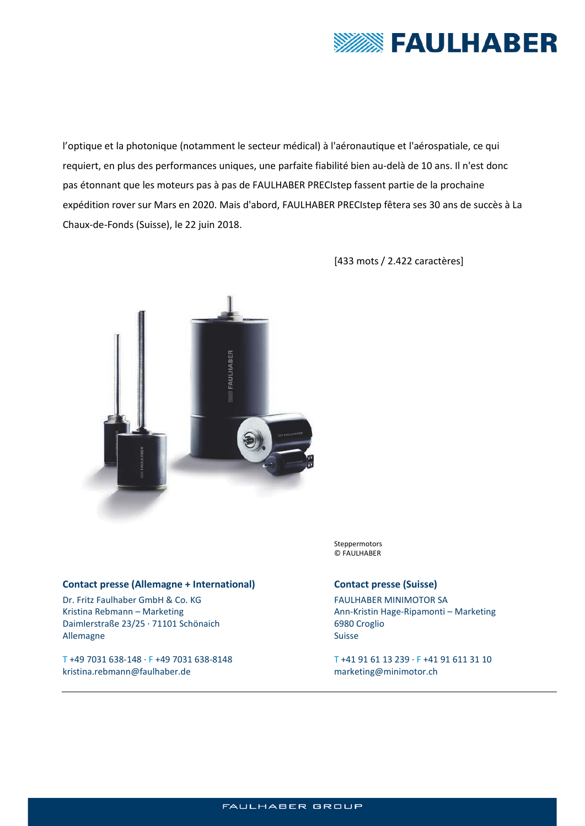

l'optique et la photonique (notamment le secteur médical) à l'aéronautique et l'aérospatiale, ce qui requiert, en plus des performances uniques, une parfaite fiabilité bien au-delà de 10 ans. Il n'est donc pas étonnant que les moteurs pas à pas de FAULHABER PRECIstep fassent partie de la prochaine expédition rover sur Mars en 2020. Mais d'abord, FAULHABER PRECIstep fêtera ses 30 ans de succès à La Chaux-de-Fonds (Suisse), le 22 juin 2018.



[433 mots / 2.422 caractères]

#### **Contact presse (Allemagne + International)**

Dr. Fritz Faulhaber GmbH & Co. KG Kristina Rebmann – Marketing Daimlerstraße 23/25 · 71101 Schönaich Allemagne

T +49 7031 638-148 · F +49 7031 638-8148 kristina.rebmann@faulhaber.de

Steppermotors © FAULHABER

#### **Contact presse (Suisse)**

FAULHABER MINIMOTOR SA Ann-Kristin Hage-Ripamonti – Marketing 6980 Croglio Suisse

T +41 91 61 13 239 · F +41 91 611 31 10 marketing@minimotor.ch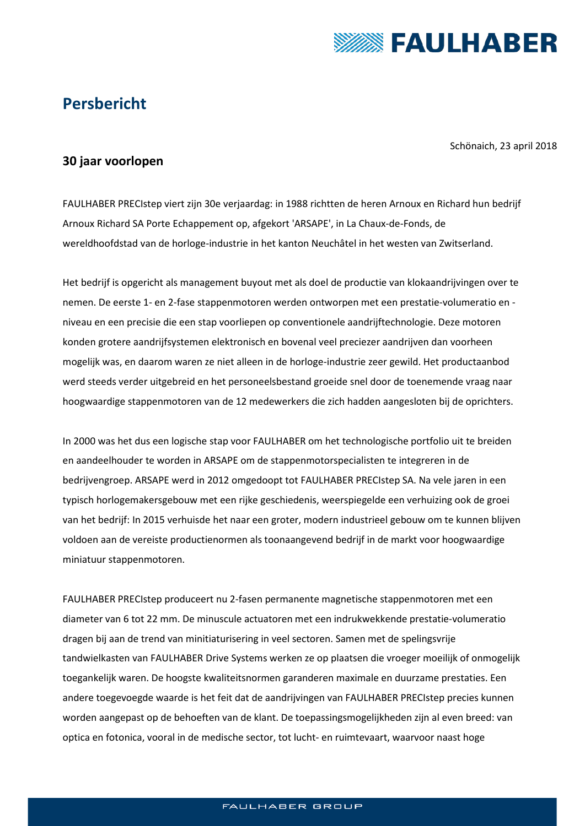

# **Persbericht**

Schönaich, 23 april 2018

## **30 jaar voorlopen**

FAULHABER PRECIstep viert zijn 30e verjaardag: in 1988 richtten de heren Arnoux en Richard hun bedrijf Arnoux Richard SA Porte Echappement op, afgekort 'ARSAPE', in La Chaux-de-Fonds, de wereldhoofdstad van de horloge-industrie in het kanton Neuchâtel in het westen van Zwitserland.

Het bedrijf is opgericht als management buyout met als doel de productie van klokaandrijvingen over te nemen. De eerste 1- en 2-fase stappenmotoren werden ontworpen met een prestatie-volumeratio en niveau en een precisie die een stap voorliepen op conventionele aandrijftechnologie. Deze motoren konden grotere aandrijfsystemen elektronisch en bovenal veel preciezer aandrijven dan voorheen mogelijk was, en daarom waren ze niet alleen in de horloge-industrie zeer gewild. Het productaanbod werd steeds verder uitgebreid en het personeelsbestand groeide snel door de toenemende vraag naar hoogwaardige stappenmotoren van de 12 medewerkers die zich hadden aangesloten bij de oprichters.

In 2000 was het dus een logische stap voor FAULHABER om het technologische portfolio uit te breiden en aandeelhouder te worden in ARSAPE om de stappenmotorspecialisten te integreren in de bedrijvengroep. ARSAPE werd in 2012 omgedoopt tot FAULHABER PRECIstep SA. Na vele jaren in een typisch horlogemakersgebouw met een rijke geschiedenis, weerspiegelde een verhuizing ook de groei van het bedrijf: In 2015 verhuisde het naar een groter, modern industrieel gebouw om te kunnen blijven voldoen aan de vereiste productienormen als toonaangevend bedrijf in de markt voor hoogwaardige miniatuur stappenmotoren.

FAULHABER PRECIstep produceert nu 2-fasen permanente magnetische stappenmotoren met een diameter van 6 tot 22 mm. De minuscule actuatoren met een indrukwekkende prestatie-volumeratio dragen bij aan de trend van minitiaturisering in veel sectoren. Samen met de spelingsvrije tandwielkasten van FAULHABER Drive Systems werken ze op plaatsen die vroeger moeilijk of onmogelijk toegankelijk waren. De hoogste kwaliteitsnormen garanderen maximale en duurzame prestaties. Een andere toegevoegde waarde is het feit dat de aandrijvingen van FAULHABER PRECIstep precies kunnen worden aangepast op de behoeften van de klant. De toepassingsmogelijkheden zijn al even breed: van optica en fotonica, vooral in de medische sector, tot lucht- en ruimtevaart, waarvoor naast hoge

#### **FAULHABER GROUP**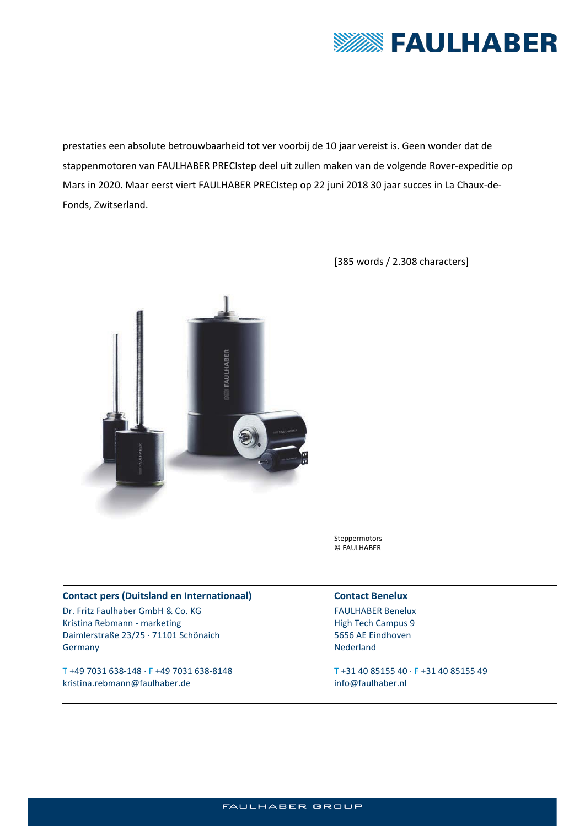

prestaties een absolute betrouwbaarheid tot ver voorbij de 10 jaar vereist is. Geen wonder dat de stappenmotoren van FAULHABER PRECIstep deel uit zullen maken van de volgende Rover-expeditie op Mars in 2020. Maar eerst viert FAULHABER PRECIstep op 22 juni 2018 30 jaar succes in La Chaux-de-Fonds, Zwitserland.



[385 words / 2.308 characters]

Steppermotors © FAULHABER

#### **Contact pers (Duitsland en Internationaal)**

Dr. Fritz Faulhaber GmbH & Co. KG Kristina Rebmann - marketing Daimlerstraße 23/25 · 71101 Schönaich Germany

T +49 7031 638-148 · F +49 7031 638-8148 kristina.rebmann@faulhaber.de

### **Contact Benelux**

FAULHABER Benelux High Tech Campus 9 5656 AE Eindhoven Nederland

T +31 40 85155 40 · F +31 40 85155 49 info@faulhaber.nl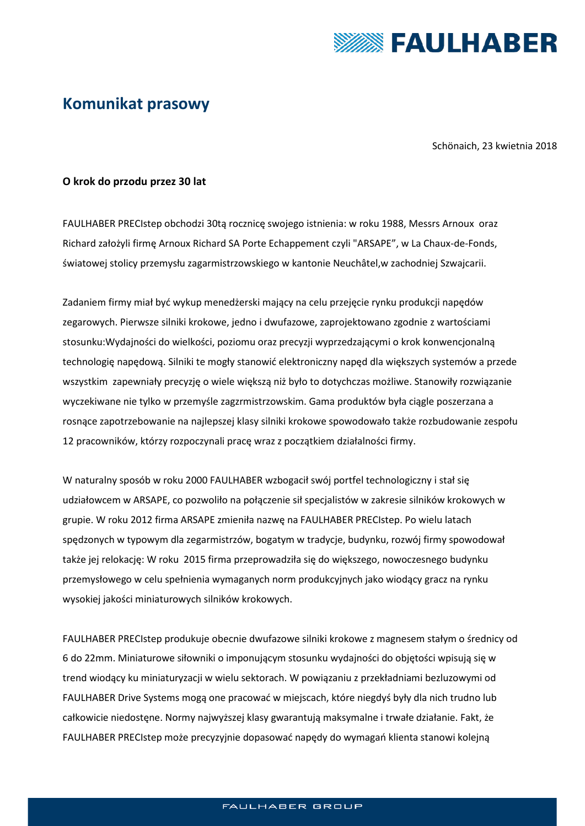

## **Komunikat prasowy**

Schönaich, 23 kwietnia 2018

### **O krok do przodu przez 30 lat**

FAULHABER PRECIstep obchodzi 30tą rocznicę swojego istnienia: w roku 1988, Messrs Arnoux oraz Richard założyli firmę Arnoux Richard SA Porte Echappement czyli "ARSAPE", w La Chaux-de-Fonds, światowej stolicy przemysłu zagarmistrzowskiego w kantonie Neuchâtel,w zachodniej Szwajcarii.

Zadaniem firmy miał być wykup menedżerski mający na celu przejęcie rynku produkcji napędów zegarowych. Pierwsze silniki krokowe, jedno i dwufazowe, zaprojektowano zgodnie z wartościami stosunku:Wydajności do wielkości, poziomu oraz precyzji wyprzedzającymi o krok konwencjonalną technologię napędową. Silniki te mogły stanowić elektroniczny napęd dla większych systemów a przede wszystkim zapewniały precyzję o wiele większą niż było to dotychczas możliwe. Stanowiły rozwiązanie wyczekiwane nie tylko w przemyśle zagzrmistrzowskim. Gama produktów była ciągle poszerzana a rosnące zapotrzebowanie na najlepszej klasy silniki krokowe spowodowało także rozbudowanie zespołu 12 pracowników, którzy rozpoczynali pracę wraz z początkiem działalności firmy.

W naturalny sposób w roku 2000 FAULHABER wzbogacił swój portfel technologiczny i stał się udziałowcem w ARSAPE, co pozwoliło na połączenie sił specjalistów w zakresie silników krokowych w grupie. W roku 2012 firma ARSAPE zmieniła nazwę na FAULHABER PRECIstep. Po wielu latach spędzonych w typowym dla zegarmistrzów, bogatym w tradycje, budynku, rozwój firmy spowodował także jej relokację: W roku 2015 firma przeprowadziła się do większego, nowoczesnego budynku przemysłowego w celu spełnienia wymaganych norm produkcyjnych jako wiodący gracz na rynku wysokiej jakości miniaturowych silników krokowych.

FAULHABER PRECIstep produkuje obecnie dwufazowe silniki krokowe z magnesem stałym o średnicy od 6 do 22mm. Miniaturowe siłowniki o imponującym stosunku wydajności do objętości wpisują się w trend wiodący ku miniaturyzacji w wielu sektorach. W powiązaniu z przekładniami bezluzowymi od FAULHABER Drive Systems mogą one pracować w miejscach, które niegdyś były dla nich trudno lub całkowicie niedostęne. Normy najwyższej klasy gwarantują maksymalne i trwałe działanie. Fakt, że FAULHABER PRECIstep może precyzyjnie dopasować napędy do wymagań klienta stanowi kolejną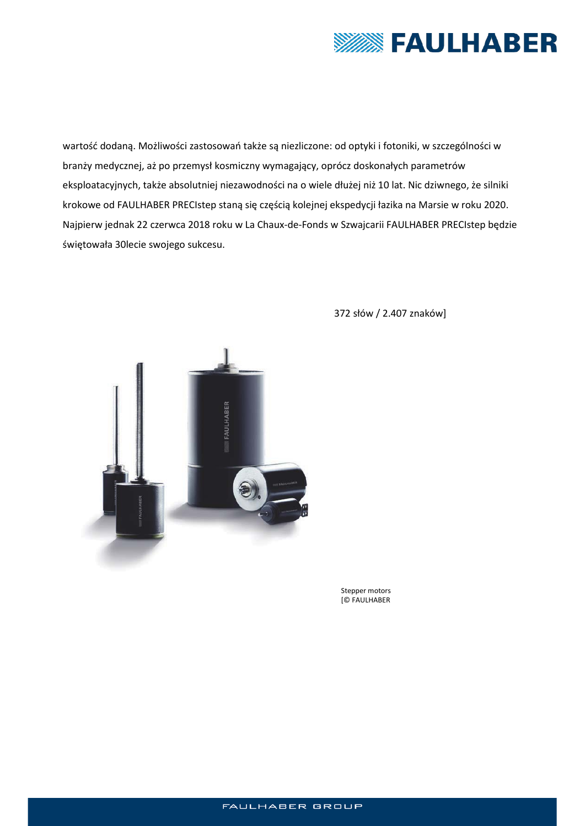

wartość dodaną. Możliwości zastosowań także są niezliczone: od optyki i fotoniki, w szczególności w branży medycznej, aż po przemysł kosmiczny wymagający, oprócz doskonałych parametrów eksploatacyjnych, także absolutniej niezawodności na o wiele dłużej niż 10 lat. Nic dziwnego, że silniki krokowe od FAULHABER PRECIstep staną się częścią kolejnej ekspedycji łazika na Marsie w roku 2020. Najpierw jednak 22 czerwca 2018 roku w La Chaux-de-Fonds w Szwajcarii FAULHABER PRECIstep będzie świętowała 30lecie swojego sukcesu.



372 słów / 2.407 znaków]

Stepper motors [© FAULHABER